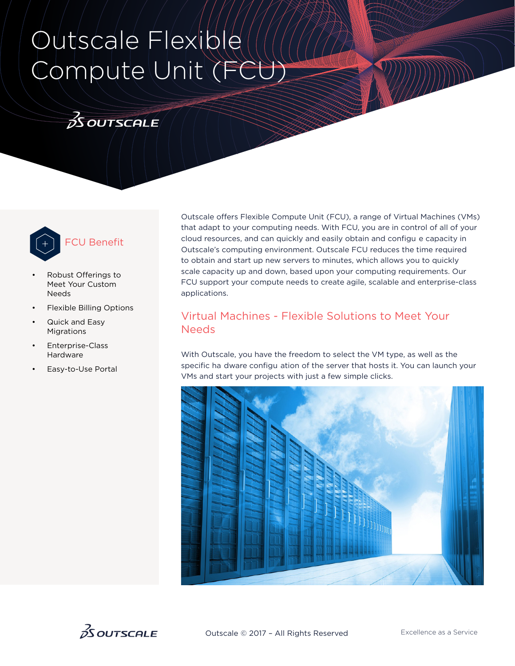# Outscale Flexible Compute Unit (FCU)

### $3$  OUTSCALE



## FCU Benefit

- Robust Offerings to Meet Your Custom Needs
- Flexible Billing Options
- Quick and Easy Migrations
- Enterprise-Class Hardware
- Easy-to-Use Portal

Outscale offers Flexible Compute Unit (FCU), a range of Virtual Machines (VMs) that adapt to your computing needs. With FCU, you are in control of all of your cloud resources, and can quickly and easily obtain and configu e capacity in Outscale's computing environment. Outscale FCU reduces the time required to obtain and start up new servers to minutes, which allows you to quickly scale capacity up and down, based upon your computing requirements. Our FCU support your compute needs to create agile, scalable and enterprise-class applications.

#### Virtual Machines - Flexible Solutions to Meet Your Needs

With Outscale, you have the freedom to select the VM type, as well as the specific ha dware configu ation of the server that hosts it. You can launch your VMs and start your projects with just a few simple clicks.



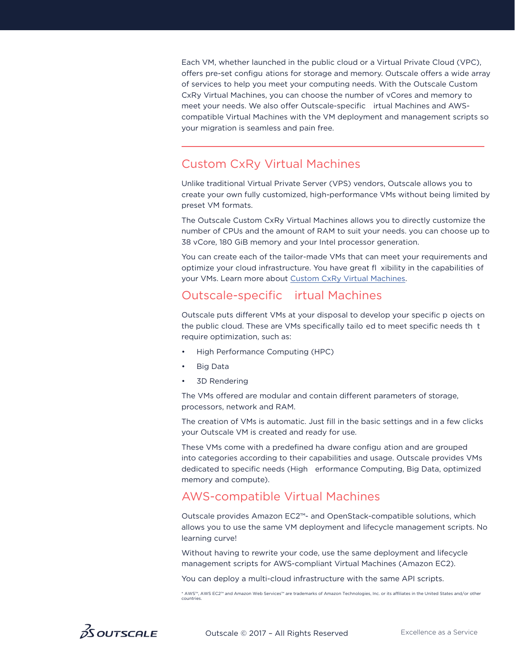Each VM, whether launched in the public cloud or a Virtual Private Cloud (VPC), offers pre-set configu ations for storage and memory. Outscale offers a wide array of services to help you meet your computing needs. With the Outscale Custom CxRy Virtual Machines, you can choose the number of vCores and memory to meet your needs. We also offer Outscale-specific irtual Machines and AWScompatible Virtual Machines with the VM deployment and management scripts so your migration is seamless and pain free.

#### Custom CxRy Virtual Machines

Unlike traditional Virtual Private Server (VPS) vendors, Outscale allows you to create your own fully customized, high-performance VMs without being limited by preset VM formats.

The Outscale Custom CxRy Virtual Machines allows you to directly customize the number of CPUs and the amount of RAM to suit your needs. you can choose up to 38 vCore, 180 GiB memory and your Intel processor generation.

You can create each of the tailor-made VMs that can meet your requirements and optimize your cloud infrastructure. You have great fl xibility in the capabilities of your VMs. Learn more about [Custom CxRy Virtual Machines](https://wiki.outscale.net/display/DOCU/Instance+Types#InstanceTypes-Instancespersonnalisables).

#### Outscale-specific irtual Machines

Outscale puts different VMs at your disposal to develop your specific p ojects on the public cloud. These are VMs specifically tailo ed to meet specific needs th t require optimization, such as:

- High Performance Computing (HPC)
- Big Data
- 3D Rendering

The VMs offered are modular and contain different parameters of storage, processors, network and RAM.

The creation of VMs is automatic. Just fill in the basic settings and in a few clicks your Outscale VM is created and ready for use.

These VMs come with a predefined ha dware configu ation and are grouped into categories according to their capabilities and usage. Outscale provides VMs dedicated to specific needs (High erformance Computing, Big Data, optimized memory and compute).

#### AWS-compatible Virtual Machines

Outscale provides Amazon EC2™- and OpenStack-compatible solutions, which allows you to use the same VM deployment and lifecycle management scripts. No learning curve!

Without having to rewrite your code, use the same deployment and lifecycle management scripts for AWS-compliant Virtual Machines (Amazon EC2).

You can deploy a multi-cloud infrastructure with the same API scripts.

\* AWS™, AWS EC2™ and Amazon Web Services™ are trademarks of Amazon Technologies, Inc. or its affiliates in the United States and/or other countries.